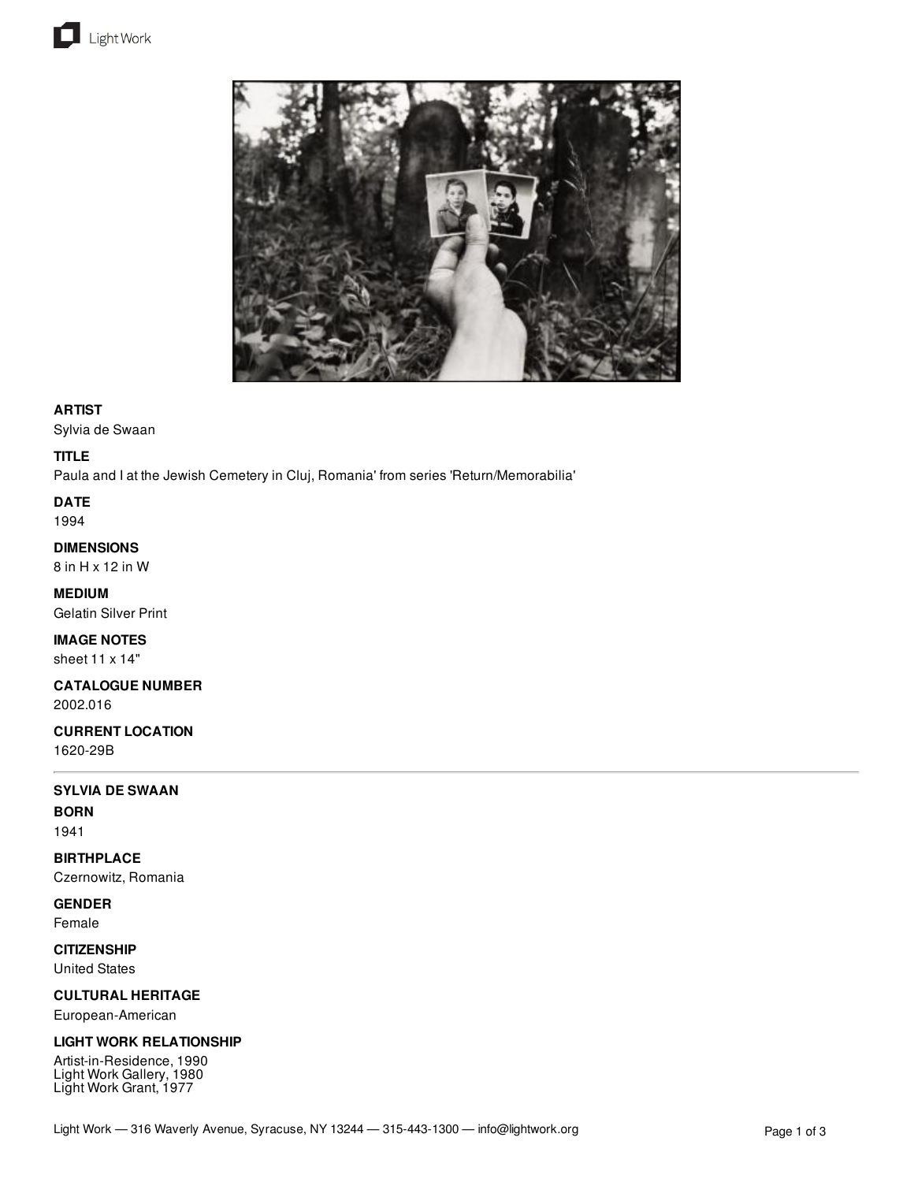



## **ARTIST**

Sylvia de Swaan

## **TITLE**

Paula and I at the Jewish Cemetery in Cluj, Romania' from series 'Return/Memorabilia'

**DATE**

1994

# **DIMENSIONS**

8 in H x 12 in W

**MEDIUM** Gelatin Silver Print

**IMAGE NOTES** sheet 11 x 14"

**CATALOGUE NUMBER** 2002.016

**CURRENT LOCATION**

1620-29B

#### **SYLVIA DE SWAAN**

**BORN** 1941

**BIRTHPLACE** Czernowitz, Romania

**GENDER**

Female

**CITIZENSHIP**

United States

### **CULTURAL HERITAGE**

European-American

## **LIGHT WORK RELATIONSHIP**

Artist-in-Residence, 1990 Light Work Gallery, 1980 Light Work Grant, 1977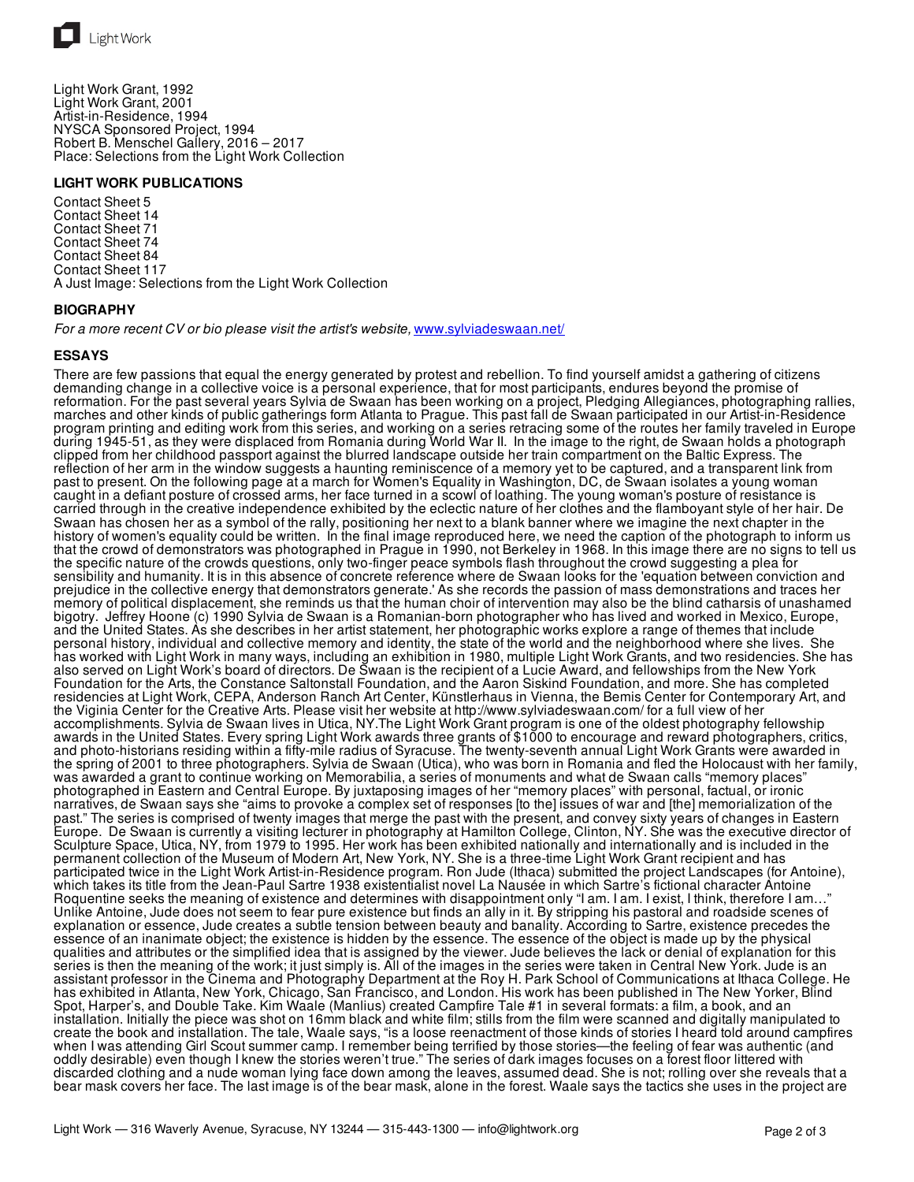

Light Work Grant, 1992 Light Work Grant, 2001 Artist-in-Residence, 1994 NYSCA Sponsored Project, 1994 Robert B. Menschel Gallery, 2016 – 2017 Place: Selections from the Light Work Collection

#### **LIGHT WORK PUBLICATIONS**

Contact Sheet 5 Contact Sheet 14 Contact Sheet 71 Contact Sheet 74 Contact Sheet 84 Contact Sheet 117 A Just Image: Selections from the Light Work Collection

#### **BIOGRAPHY**

*For a more recent CV or bio please visit the artist's website,* [www.sylviadeswaan.net/](http://www.sylviadeswaan.net/)

#### **ESSAYS**

There are few passions that equal the energy generated by protest and rebellion. To find yourself amidst a gathering of citizens demanding change in a collective voice is a personal experience, that for most participants, endures beyond the promise of reformation. For the past several years Sylvia de Swaan has been working on a project, Pledging Allegiances, photographing rallies, marches and other kinds of public gatherings form Atlanta to Prague. This past fall de Swaan participated in our Artist-in-Residence program printing and editing work from this series, and working on a series retracing some of the routes her family traveled in Europe during 1945-51, as they were displaced from Romania during World War II. In the image to the right, de Swaan holds a photograph clipped from her childhood passport against the blurred landscape outside her train compartment on the Baltic Express. The reflection of her arm in the window suggests a haunting reminiscence of a memory yet to be captured, and a transparent link from past to present. On the following page at a march for Women's Equality in Washington, DC, de Swaan isolates a young woman caught in a defiant posture of crossed arms, her face turned in a scowl of loathing. The young woman's posture of resistance is carried through in the creative independence exhibited by the eclectic nature of her clothes and the flamboyant style of her hair. De Swaan has chosen her as a symbol of the rally, positioning her next to a blank banner where we imagine the next chapter in the history of women's equality could be written. In the final image reproduced here, we need the caption of the photograph to inform us that the crowd of demonstrators was photographed in Prague in 1990, not Berkeley in 1968. In this image there are no signs to tell us the specific nature of the crowds questions, only two-finger peace symbols flash throughout the crowd suggesting a plea for sensibility and humanity. It is in this absence of concrete reference where de Swaan looks for the 'equation between conviction and prejudice in the collective energy that demonstrators generate.' As she records the passion of mass demonstrations and traces her memory of political displacement, she reminds us that the human choir of intervention may also be the blind catharsis of unashamed bigotry. Jeffrey Hoone (c) 1990 Sylvia de Swaan is a Romanian-born photographer who has lived and worked in Mexico, Europe, and the United States. As she describes in her artist statement, her photographic works explore a range of themes that include personal history, individual and collective memory and identity, the state of the world and the neighborhood where she lives. She has worked with Light Work in many ways, including an exhibition in 1980, multiple Light Work Grants, and two residencies. She has also served on Light Work's board of directors. De Swaan is the recipient of a Lucie Award, and fellowships from the New York Foundation for the Arts, the Constance Saltonstall Foundation, and the Aaron Siskind Foundation, and more. She has completed residencies at Light Work, CEPA, Anderson Ranch Art Center, Künstlerhaus in Vienna, the Bemis Center for Contemporary Art, and the Viginia Center for the Creative Arts. Please visit her website at http://www.sylviadeswaan.com/ for a full view of her accomplishments. Sylvia de Swaan lives in Utica, NY.The Light Work Grant program is one of the oldest photography fellowship awards in the United States. Every spring Light Work awards three grants of \$1000 to encourage and reward photographers, critics, and photo-historians residing within a fifty-mile radius of Syracuse. The twenty-seventh annual Light Work Grants were awarded in the spring of 2001 to three photographers. Sylvia de Swaan (Utica), who was born in Romania and fled the Holocaust with her family, was awarded a grant to continue working on Memorabilia, a series of monuments and what de Swaan calls "memory places" photographed in Eastern and Central Europe. By juxtaposing images of her "memory places" with personal, factual, or ironic narratives, de Swaan says she "aims to provoke a complex set of responses [to the] issues of war and [the] memorialization of the past." The series is comprised of twenty images that merge the past with the present, and convey sixty years of changes in Eastern Europe. De Swaan is currently a visiting lecturer in photography at Hamilton College, Clinton, NY. She was the executive director of Sculpture Space, Utica, NY, from 1979 to 1995. Her work has been exhibited nationally and internationally and is included in the permanent collection of the Museum of Modern Art, New York, NY. She is a three-time Light Work Grant recipient and has participated twice in the Light Work Artist-in-Residence program. Ron Jude (Ithaca) submitted the project Landscapes (for Antoine), which takes its title from the Jean-Paul Sartre 1938 existentialist novel La Nausée in which Sartre's fictional character Antoine Roquentine seeks the meaning of existence and determines with disappointment only "I am. I am. I exist, I think, therefore I am…" Unlike Antoine, Jude does not seem to fear pure existence but finds an ally in it. By stripping his pastoral and roadside scenes of explanation or essence, Jude creates a subtle tension between beauty and banality. According to Sartre, existence precedes the essence of an inanimate object; the existence is hidden by the essence. The essence of the object is made up by the physical qualities and attributes or the simplified idea that is assigned by the viewer. Jude believes the lack or denial of explanation for this series is then the meaning of the work; it just simply is. All of the images in the series were taken in Central New York. Jude is an assistant professor in the Cinema and Photography Department at the Roy H. Park School of Communications at Ithaca College. He has exhibited in Atlanta, New York, Chicago, San Francisco, and London. His work has been published in The New Yorker, Blind Spot, Harper's, and Double Take. Kim Waale (Manlius) created Campfire Tale #1 in several formats: a film, a book, and an installation. Initially the piece was shot on 16mm black and white film; stills from the film were scanned and digitally manipulated to create the book and installation. The tale, Waale says, "is a loose reenactment of those kinds of stories I heard told around campfires when I was attending Girl Scout summer camp. I remember being terrified by those stories—the feeling of fear was authentic (and oddly desirable) even though I knew the stories weren't true." The series of dark images focuses on a forest floor littered with discarded clothing and a nude woman lying face down among the leaves, assumed dead. She is not; rolling over she reveals that a bear mask covers her face. The last image is of the bear mask, alone in the forest. Waale says the tactics she uses in the project are